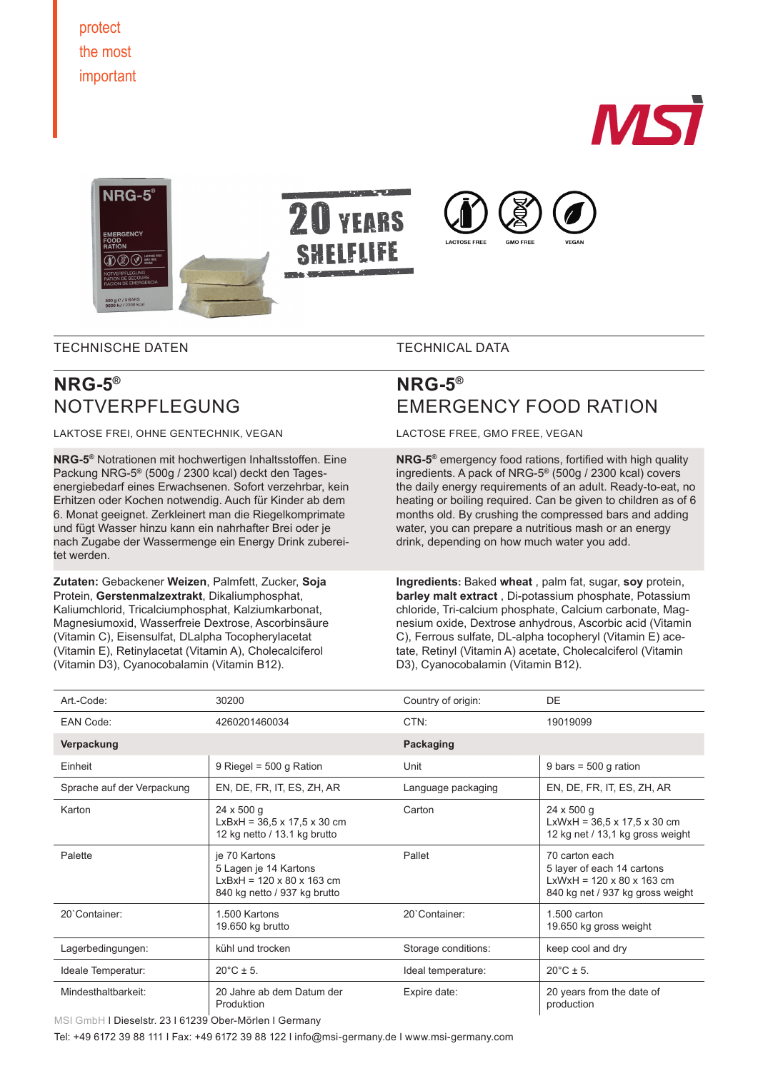

TECHNISCHE DATEN

TECHNICAL DATA

# **NRG-5®** NOTVERPFLEGUNG

LAKTOSE FREI, OHNE GENTECHNIK, VEGAN

**NRG-5®** Notrationen mit hochwertigen Inhaltsstoffen. Eine Packung NRG-5**®** (500g / 2300 kcal) deckt den Tagesenergiebedarf eines Erwachsenen. Sofort verzehrbar, kein Erhitzen oder Kochen notwendig. Auch für Kinder ab dem 6. Monat geeignet. Zerkleinert man die Riegelkomprimate und fügt Wasser hinzu kann ein nahrhafter Brei oder je nach Zugabe der Wassermenge ein Energy Drink zubereitet werden.

**Zutaten:** Gebackener **Weizen**, Palmfett, Zucker, **Soja** Protein, **Gerstenmalzextrakt**, Dikaliumphosphat, Kaliumchlorid, Tricalciumphosphat, Kalziumkarbonat, Magnesiumoxid, Wasserfreie Dextrose, Ascorbinsäure (Vitamin C), Eisensulfat, DLalpha Tocopherylacetat (Vitamin E), Retinylacetat (Vitamin A), Cholecalciferol (Vitamin D3), Cyanocobalamin (Vitamin B12).

# **NRG-5®** EMERGENCY FOOD RATION

LACTOSE FREE, GMO FREE, VEGAN

**NRG-5®** emergency food rations, fortified with high quality ingredients. A pack of NRG-5**®** (500g / 2300 kcal) covers the daily energy requirements of an adult. Ready-to-eat, no heating or boiling required. Can be given to children as of 6 months old. By crushing the compressed bars and adding water, you can prepare a nutritious mash or an energy drink, depending on how much water you add.

**Ingredients:** Baked **wheat** , palm fat, sugar, **soy** protein, **barley malt extract** , Di-potassium phosphate, Potassium chloride, Tri-calcium phosphate, Calcium carbonate, Magnesium oxide, Dextrose anhydrous, Ascorbic acid (Vitamin C), Ferrous sulfate, DL-alpha tocopheryl (Vitamin E) acetate, Retinyl (Vitamin A) acetate, Cholecalciferol (Vitamin D3), Cyanocobalamin (Vitamin B12).

| Art.-Code:                 | 30200                                                                                                           | Country of origin:  | DE                                                                                                                        |
|----------------------------|-----------------------------------------------------------------------------------------------------------------|---------------------|---------------------------------------------------------------------------------------------------------------------------|
| EAN Code:                  | 4260201460034                                                                                                   | CTN:                | 19019099                                                                                                                  |
| Verpackung                 |                                                                                                                 | Packaging           |                                                                                                                           |
| Einheit                    | 9 Riegel = $500$ g Ration                                                                                       | Unit                | 9 bars = $500$ g ration                                                                                                   |
| Sprache auf der Verpackung | EN, DE, FR, IT, ES, ZH, AR                                                                                      | Language packaging  | EN, DE, FR, IT, ES, ZH, AR                                                                                                |
| Karton                     | $24 \times 500$ g<br>$LxBxH = 36,5 x 17,5 x 30 cm$<br>12 kg netto / 13.1 kg brutto                              | Carton              | $24 \times 500$ g<br>$LxWxH = 36,5 x 17,5 x 30 cm$<br>12 kg net / 13,1 kg gross weight                                    |
| Palette                    | je 70 Kartons<br>5 Lagen je 14 Kartons<br>$LxBxH = 120 \times 80 \times 163$ cm<br>840 kg netto / 937 kg brutto | Pallet              | 70 carton each<br>5 layer of each 14 cartons<br>$LxWxH = 120 \times 80 \times 163$ cm<br>840 kg net / 937 kg gross weight |
| 20'Container:              | 1.500 Kartons<br>19.650 kg brutto                                                                               | 20`Container:       | $1.500$ carton<br>19.650 kg gross weight                                                                                  |
| Lagerbedingungen:          | kühl und trocken                                                                                                | Storage conditions: | keep cool and dry                                                                                                         |
| Ideale Temperatur:         | $20^{\circ}$ C ± 5.                                                                                             | Ideal temperature:  | $20^{\circ}$ C ± 5.                                                                                                       |
| Mindesthaltbarkeit:        | 20 Jahre ab dem Datum der<br>Produktion                                                                         | Expire date:        | 20 years from the date of<br>production                                                                                   |

MSI GmbH I Dieselstr. 23 I 61239 Ober-Mörlen I Germany

Tel: +49 6172 39 88 111 I Fax: +49 6172 39 88 122 I info@msi-germany.de I www.msi-germany.com